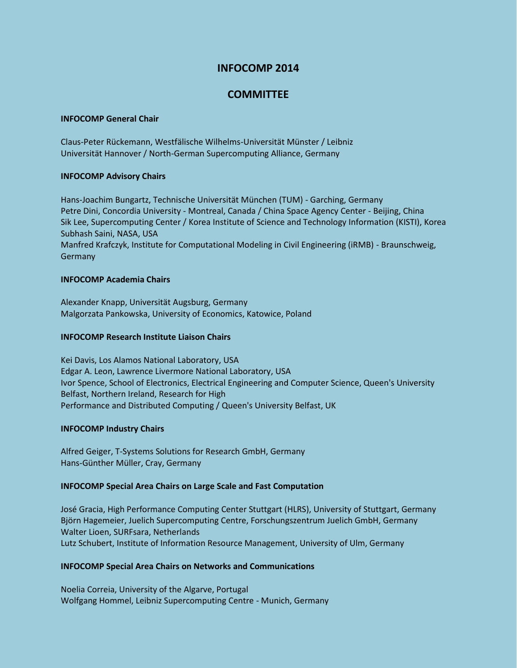# **INFOCOMP 2014**

# **COMMITTEE**

### **INFOCOMP General Chair**

Claus-Peter Rückemann, Westfälische Wilhelms-Universität Münster / Leibniz Universität Hannover / North-German Supercomputing Alliance, Germany

## **INFOCOMP Advisory Chairs**

Hans-Joachim Bungartz, Technische Universität München (TUM) - Garching, Germany Petre Dini, Concordia University - Montreal, Canada / China Space Agency Center - Beijing, China Sik Lee, Supercomputing Center / Korea Institute of Science and Technology Information (KISTI), Korea Subhash Saini, NASA, USA Manfred Krafczyk, Institute for Computational Modeling in Civil Engineering (iRMB) - Braunschweig, Germany

### **INFOCOMP Academia Chairs**

Alexander Knapp, Universität Augsburg, Germany Malgorzata Pankowska, University of Economics, Katowice, Poland

## **INFOCOMP Research Institute Liaison Chairs**

Kei Davis, Los Alamos National Laboratory, USA Edgar A. Leon, Lawrence Livermore National Laboratory, USA Ivor Spence, School of Electronics, Electrical Engineering and Computer Science, Queen's University Belfast, Northern Ireland, Research for High Performance and Distributed Computing / Queen's University Belfast, UK

## **INFOCOMP Industry Chairs**

Alfred Geiger, T-Systems Solutions for Research GmbH, Germany Hans-Günther Müller, Cray, Germany

#### **INFOCOMP Special Area Chairs on Large Scale and Fast Computation**

José Gracia, High Performance Computing Center Stuttgart (HLRS), University of Stuttgart, Germany Björn Hagemeier, Juelich Supercomputing Centre, Forschungszentrum Juelich GmbH, Germany Walter Lioen, SURFsara, Netherlands Lutz Schubert, Institute of Information Resource Management, University of Ulm, Germany

## **INFOCOMP Special Area Chairs on Networks and Communications**

Noelia Correia, University of the Algarve, Portugal Wolfgang Hommel, Leibniz Supercomputing Centre - Munich, Germany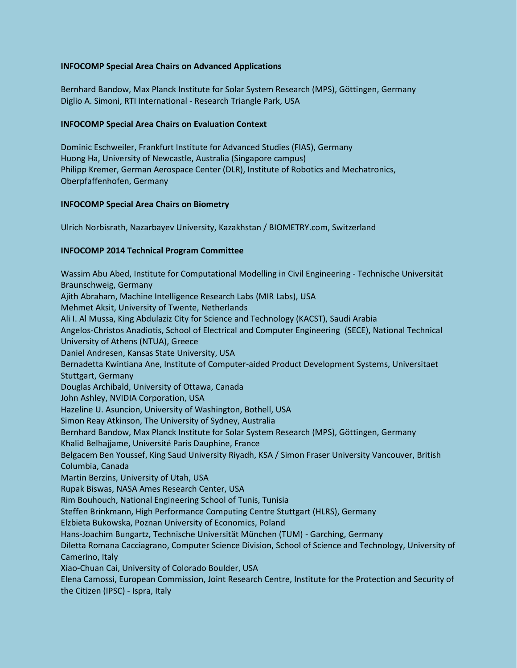## **INFOCOMP Special Area Chairs on Advanced Applications**

Bernhard Bandow, Max Planck Institute for Solar System Research (MPS), Göttingen, Germany Diglio A. Simoni, RTI International - Research Triangle Park, USA

## **INFOCOMP Special Area Chairs on Evaluation Context**

Dominic Eschweiler, Frankfurt Institute for Advanced Studies (FIAS), Germany Huong Ha, University of Newcastle, Australia (Singapore campus) Philipp Kremer, German Aerospace Center (DLR), Institute of Robotics and Mechatronics, Oberpfaffenhofen, Germany

## **INFOCOMP Special Area Chairs on Biometry**

Ulrich Norbisrath, Nazarbayev University, Kazakhstan / BIOMETRY.com, Switzerland

# **INFOCOMP 2014 Technical Program Committee**

Wassim Abu Abed, Institute for Computational Modelling in Civil Engineering - Technische Universität Braunschweig, Germany Ajith Abraham, Machine Intelligence Research Labs (MIR Labs), USA Mehmet Aksit, University of Twente, Netherlands Ali I. Al Mussa, King Abdulaziz City for Science and Technology (KACST), Saudi Arabia Angelos-Christos Anadiotis, School of Electrical and Computer Engineering (SECE), National Technical University of Athens (NTUA), Greece Daniel Andresen, Kansas State University, USA Bernadetta Kwintiana Ane, Institute of Computer-aided Product Development Systems, Universitaet Stuttgart, Germany Douglas Archibald, University of Ottawa, Canada John Ashley, NVIDIA Corporation, USA Hazeline U. Asuncion, University of Washington, Bothell, USA Simon Reay Atkinson, The University of Sydney, Australia Bernhard Bandow, Max Planck Institute for Solar System Research (MPS), Göttingen, Germany Khalid Belhajjame, Université Paris Dauphine, France Belgacem Ben Youssef, King Saud University Riyadh, KSA / Simon Fraser University Vancouver, British Columbia, Canada Martin Berzins, University of Utah, USA Rupak Biswas, NASA Ames Research Center, USA Rim Bouhouch, National Engineering School of Tunis, Tunisia Steffen Brinkmann, High Performance Computing Centre Stuttgart (HLRS), Germany Elzbieta Bukowska, Poznan University of Economics, Poland Hans-Joachim Bungartz, Technische Universität München (TUM) - Garching, Germany Diletta Romana Cacciagrano, Computer Science Division, School of Science and Technology, University of Camerino, Italy Xiao-Chuan Cai, University of Colorado Boulder, USA Elena Camossi, European Commission, Joint Research Centre, Institute for the Protection and Security of the Citizen (IPSC) - Ispra, Italy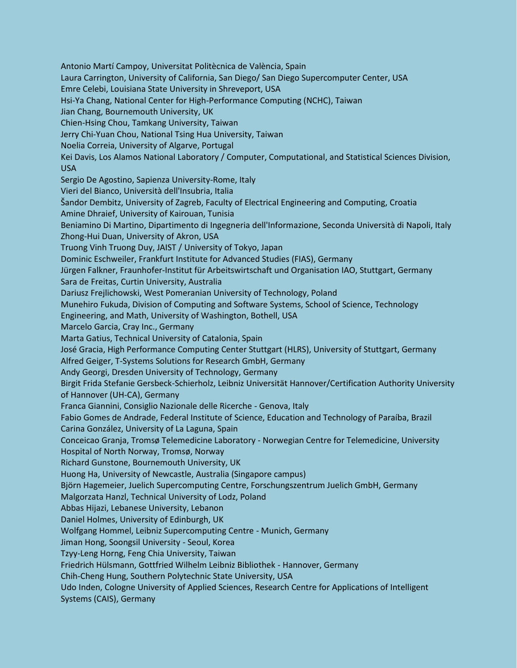Antonio Martí Campoy, Universitat Politècnica de València, Spain Laura Carrington, University of California, San Diego/ San Diego Supercomputer Center, USA Emre Celebi, Louisiana State University in Shreveport, USA Hsi-Ya Chang, National Center for High-Performance Computing (NCHC), Taiwan Jian Chang, Bournemouth University, UK Chien-Hsing Chou, Tamkang University, Taiwan Jerry Chi-Yuan Chou, National Tsing Hua University, Taiwan Noelia Correia, University of Algarve, Portugal Kei Davis, Los Alamos National Laboratory / Computer, Computational, and Statistical Sciences Division, USA Sergio De Agostino, Sapienza University-Rome, Italy Vieri del Bianco, Università dell'Insubria, Italia Šandor Dembitz, University of Zagreb, Faculty of Electrical Engineering and Computing, Croatia Amine Dhraief, University of Kairouan, Tunisia Beniamino Di Martino, Dipartimento di Ingegneria dell'Informazione, Seconda Università di Napoli, Italy Zhong-Hui Duan, University of Akron, USA Truong Vinh Truong Duy, JAIST / University of Tokyo, Japan Dominic Eschweiler, Frankfurt Institute for Advanced Studies (FIAS), Germany Jürgen Falkner, Fraunhofer-Institut für Arbeitswirtschaft und Organisation IAO, Stuttgart, Germany Sara de Freitas, Curtin University, Australia Dariusz Frejlichowski, West Pomeranian University of Technology, Poland Munehiro Fukuda, Division of Computing and Software Systems, School of Science, Technology Engineering, and Math, University of Washington, Bothell, USA Marcelo Garcia, Cray Inc., Germany Marta Gatius, Technical University of Catalonia, Spain José Gracia, High Performance Computing Center Stuttgart (HLRS), University of Stuttgart, Germany Alfred Geiger, T-Systems Solutions for Research GmbH, Germany Andy Georgi, Dresden University of Technology, Germany Birgit Frida Stefanie Gersbeck-Schierholz, Leibniz Universität Hannover/Certification Authority University of Hannover (UH-CA), Germany Franca Giannini, Consiglio Nazionale delle Ricerche - Genova, Italy Fabio Gomes de Andrade, Federal Institute of Science, Education and Technology of Paraíba, Brazil Carina González, University of La Laguna, Spain Conceicao Granja, Tromsø Telemedicine Laboratory - Norwegian Centre for Telemedicine, University Hospital of North Norway, Tromsø, Norway Richard Gunstone, Bournemouth University, UK Huong Ha, University of Newcastle, Australia (Singapore campus) Björn Hagemeier, Juelich Supercomputing Centre, Forschungszentrum Juelich GmbH, Germany Malgorzata Hanzl, Technical University of Lodz, Poland Abbas Hijazi, Lebanese University, Lebanon Daniel Holmes, University of Edinburgh, UK Wolfgang Hommel, Leibniz Supercomputing Centre - Munich, Germany Jiman Hong, Soongsil University - Seoul, Korea Tzyy-Leng Horng, Feng Chia University, Taiwan Friedrich Hülsmann, Gottfried Wilhelm Leibniz Bibliothek - Hannover, Germany Chih-Cheng Hung, Southern Polytechnic State University, USA Udo Inden, Cologne University of Applied Sciences, Research Centre for Applications of Intelligent Systems (CAIS), Germany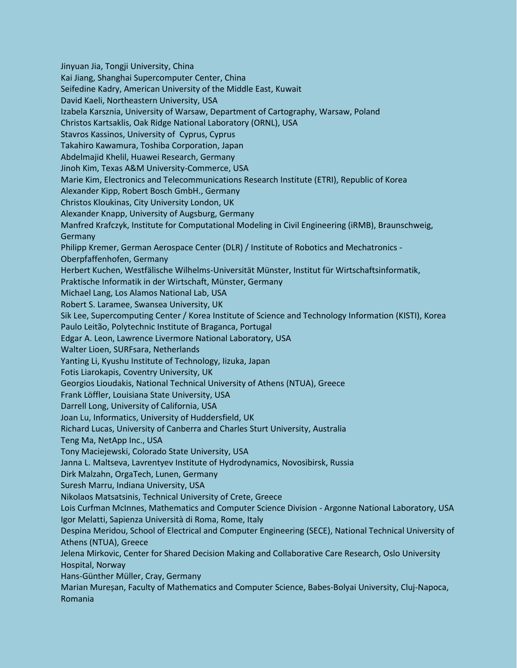Jinyuan Jia, Tongji University, China Kai Jiang, Shanghai Supercomputer Center, China Seifedine Kadry, American University of the Middle East, Kuwait David Kaeli, Northeastern University, USA Izabela Karsznia, University of Warsaw, Department of Cartography, Warsaw, Poland Christos Kartsaklis, Oak Ridge National Laboratory (ORNL), USA Stavros Kassinos, University of Cyprus, Cyprus Takahiro Kawamura, Toshiba Corporation, Japan Abdelmajid Khelil, Huawei Research, Germany Jinoh Kim, Texas A&M University-Commerce, USA Marie Kim, Electronics and Telecommunications Research Institute (ETRI), Republic of Korea Alexander Kipp, Robert Bosch GmbH., Germany Christos Kloukinas, City University London, UK Alexander Knapp, University of Augsburg, Germany Manfred Krafczyk, Institute for Computational Modeling in Civil Engineering (iRMB), Braunschweig, Germany Philipp Kremer, German Aerospace Center (DLR) / Institute of Robotics and Mechatronics - Oberpfaffenhofen, Germany Herbert Kuchen, Westfälische Wilhelms-Universität Münster, Institut für Wirtschaftsinformatik, Praktische Informatik in der Wirtschaft, Münster, Germany Michael Lang, Los Alamos National Lab, USA Robert S. Laramee, Swansea University, UK Sik Lee, Supercomputing Center / Korea Institute of Science and Technology Information (KISTI), Korea Paulo Leitão, Polytechnic Institute of Braganca, Portugal Edgar A. Leon, Lawrence Livermore National Laboratory, USA Walter Lioen, SURFsara, Netherlands Yanting Li, Kyushu Institute of Technology, Iizuka, Japan Fotis Liarokapis, Coventry University, UK Georgios Lioudakis, National Technical University of Athens (NTUA), Greece Frank Löffler, Louisiana State University, USA Darrell Long, University of California, USA Joan Lu, Informatics, University of Huddersfield, UK Richard Lucas, University of Canberra and Charles Sturt University, Australia Teng Ma, NetApp Inc., USA Tony Maciejewski, Colorado State University, USA Janna L. Maltseva, Lavrentyev Institute of Hydrodynamics, Novosibirsk, Russia Dirk Malzahn, OrgaTech, Lunen, Germany Suresh Marru, Indiana University, USA Nikolaos Matsatsinis, Technical University of Crete, Greece Lois Curfman McInnes, Mathematics and Computer Science Division - Argonne National Laboratory, USA Igor Melatti, Sapienza Università di Roma, Rome, Italy Despina Meridou, School of Electrical and Computer Engineering (SECE), National Technical University of Athens (NTUA), Greece Jelena Mirkovic, Center for Shared Decision Making and Collaborative Care Research, Oslo University Hospital, Norway Hans-Günther Müller, Cray, Germany Marian Mureșan, Faculty of Mathematics and Computer Science, Babes-Bolyai University, Cluj-Napoca, Romania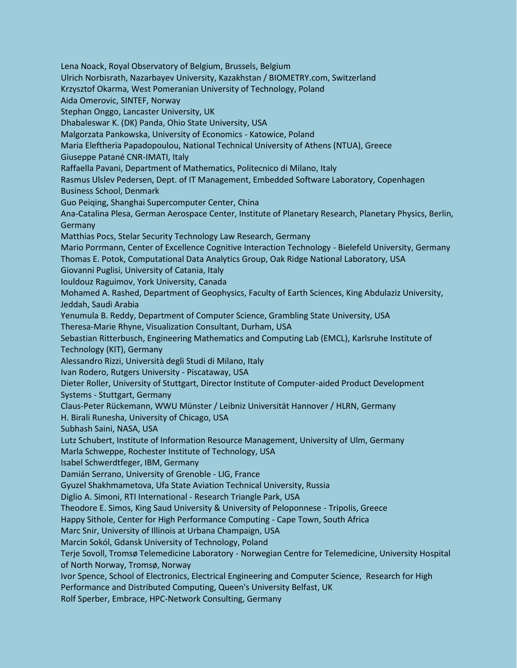Lena Noack, Royal Observatory of Belgium, Brussels, Belgium Ulrich Norbisrath, Nazarbayev University, Kazakhstan / BIOMETRY.com, Switzerland Krzysztof Okarma, West Pomeranian University of Technology, Poland Aida Omerovic, SINTEF, Norway Stephan Onggo, Lancaster University, UK Dhabaleswar K. (DK) Panda, Ohio State University, USA Malgorzata Pankowska, University of Economics - Katowice, Poland Maria Eleftheria Papadopoulou, National Technical University of Athens (NTUA), Greece Giuseppe Patané CNR-IMATI, Italy Raffaella Pavani, Department of Mathematics, Politecnico di Milano, Italy Rasmus Ulslev Pedersen, Dept. of IT Management, Embedded Software Laboratory, Copenhagen Business School, Denmark Guo Peiqing, Shanghai Supercomputer Center, China Ana-Catalina Plesa, German Aerospace Center, Institute of Planetary Research, Planetary Physics, Berlin, Germany Matthias Pocs, Stelar Security Technology Law Research, Germany Mario Porrmann, Center of Excellence Cognitive Interaction Technology - Bielefeld University, Germany Thomas E. Potok, Computational Data Analytics Group, Oak Ridge National Laboratory, USA Giovanni Puglisi, University of Catania, Italy Iouldouz Raguimov, York University, Canada Mohamed A. Rashed, Department of Geophysics, Faculty of Earth Sciences, King Abdulaziz University, Jeddah, Saudi Arabia Yenumula B. Reddy, Department of Computer Science, Grambling State University, USA Theresa-Marie Rhyne, Visualization Consultant, Durham, USA Sebastian Ritterbusch, Engineering Mathematics and Computing Lab (EMCL), Karlsruhe Institute of Technology (KIT), Germany Alessandro Rizzi, Università degli Studi di Milano, Italy Ivan Rodero, Rutgers University - Piscataway, USA Dieter Roller, University of Stuttgart, Director Institute of Computer-aided Product Development Systems - Stuttgart, Germany Claus-Peter Rückemann, WWU Münster / Leibniz Universität Hannover / HLRN, Germany H. Birali Runesha, University of Chicago, USA Subhash Saini, NASA, USA Lutz Schubert, Institute of Information Resource Management, University of Ulm, Germany Marla Schweppe, Rochester Institute of Technology, USA Isabel Schwerdtfeger, IBM, Germany Damián Serrano, University of Grenoble - LIG, France Gyuzel Shakhmametova, Ufa State Aviation Technical University, Russia Diglio A. Simoni, RTI International - Research Triangle Park, USA Theodore E. Simos, King Saud University & University of Peloponnese - Tripolis, Greece Happy Sithole, Center for High Performance Computing - Cape Town, South Africa Marc Snir, University of Illinois at Urbana Champaign, USA Marcin Sokól, Gdansk University of Technology, Poland Terje Sovoll, Tromsø Telemedicine Laboratory - Norwegian Centre for Telemedicine, University Hospital of North Norway, Tromsø, Norway Ivor Spence, School of Electronics, Electrical Engineering and Computer Science, Research for High Performance and Distributed Computing, Queen's University Belfast, UK Rolf Sperber, Embrace, HPC-Network Consulting, Germany